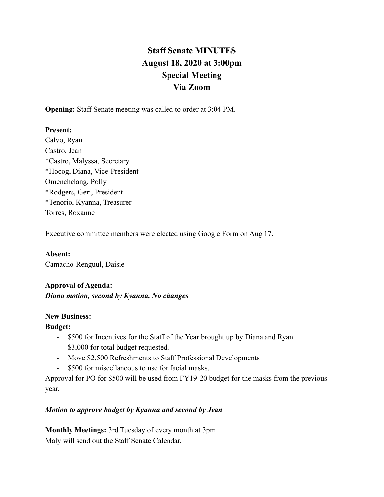# **Staff Senate MINUTES August 18, 2020 at 3:00pm Special Meeting Via Zoom**

**Opening:** Staff Senate meeting was called to order at 3:04 PM.

## **Present:**

Calvo, Ryan Castro, Jean \*Castro, Malyssa, Secretary \*Hocog, Diana, Vice-President Omenchelang, Polly \*Rodgers, Geri, President \*Tenorio, Kyanna, Treasurer Torres, Roxanne

Executive committee members were elected using Google Form on Aug 17.

**Absent:** Camacho-Renguul, Daisie

## **Approval of Agenda:**

## *Diana motion, second by Kyanna, No changes*

#### **New Business:**

## **Budget:**

- \$500 for Incentives for the Staff of the Year brought up by Diana and Ryan
- \$3,000 for total budget requested.
- Move \$2,500 Refreshments to Staff Professional Developments
- \$500 for miscellaneous to use for facial masks.

Approval for PO for \$500 will be used from FY19-20 budget for the masks from the previous year.

## *Motion to approve budget by Kyanna and second by Jean*

**Monthly Meetings:** 3rd Tuesday of every month at 3pm Maly will send out the Staff Senate Calendar.